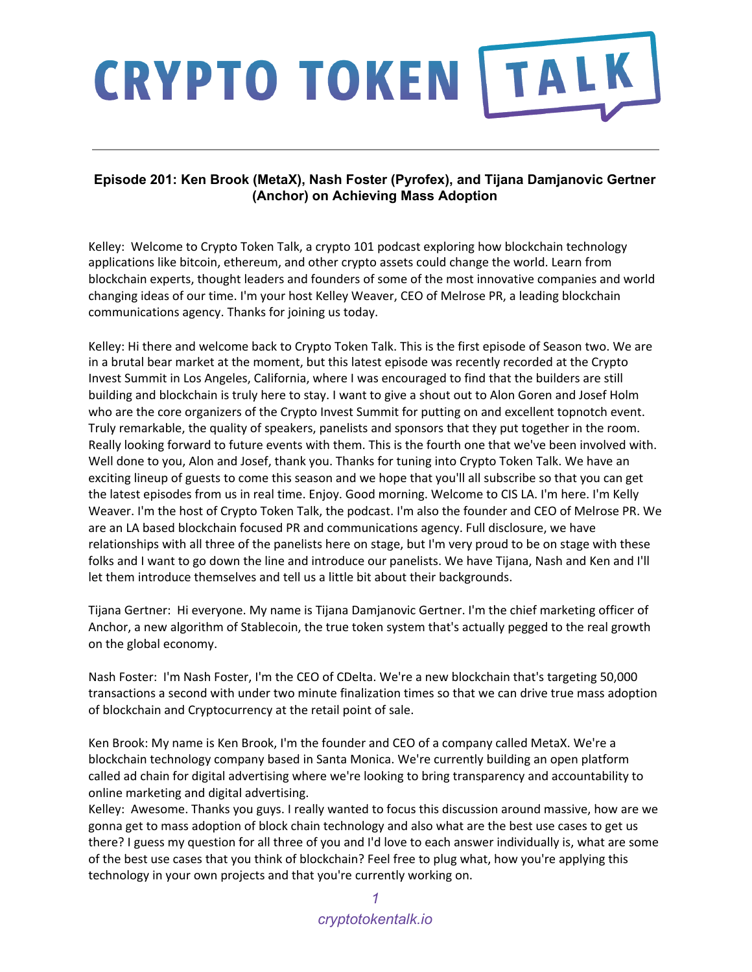### **Episode 201: Ken Brook (MetaX), Nash Foster (Pyrofex), and Tijana Damjanovic Gertner (Anchor) on Achieving Mass Adoption**

Kelley: Welcome to Crypto Token Talk, a crypto 101 podcast exploring how blockchain technology applications like bitcoin, ethereum, and other crypto assets could change the world. Learn from blockchain experts, thought leaders and founders of some of the most innovative companies and world changing ideas of our time. I'm your host Kelley Weaver, CEO of Melrose PR, a leading blockchain communications agency. Thanks for joining us today.

Kelley: Hi there and welcome back to Crypto Token Talk. This is the first episode of Season two. We are in a brutal bear market at the moment, but this latest episode was recently recorded at the Crypto Invest Summit in Los Angeles, California, where I was encouraged to find that the builders are still building and blockchain is truly here to stay. I want to give a shout out to Alon Goren and Josef Holm who are the core organizers of the Crypto Invest Summit for putting on and excellent topnotch event. Truly remarkable, the quality of speakers, panelists and sponsors that they put together in the room. Really looking forward to future events with them. This is the fourth one that we've been involved with. Well done to you, Alon and Josef, thank you. Thanks for tuning into Crypto Token Talk. We have an exciting lineup of guests to come this season and we hope that you'll all subscribe so that you can get the latest episodes from us in real time. Enjoy. Good morning. Welcome to CIS LA. I'm here. I'm Kelly Weaver. I'm the host of Crypto Token Talk, the podcast. I'm also the founder and CEO of Melrose PR. We are an LA based blockchain focused PR and communications agency. Full disclosure, we have relationships with all three of the panelists here on stage, but I'm very proud to be on stage with these folks and I want to go down the line and introduce our panelists. We have Tijana, Nash and Ken and I'll let them introduce themselves and tell us a little bit about their backgrounds.

Tijana Gertner: Hi everyone. My name is Tijana Damjanovic Gertner. I'm the chief marketing officer of Anchor, a new algorithm of Stablecoin, the true token system that's actually pegged to the real growth on the global economy.

Nash Foster: I'm Nash Foster, I'm the CEO of CDelta. We're a new blockchain that's targeting 50,000 transactions a second with under two minute finalization times so that we can drive true mass adoption of blockchain and Cryptocurrency at the retail point of sale.

Ken Brook: My name is Ken Brook, I'm the founder and CEO of a company called MetaX. We're a blockchain technology company based in Santa Monica. We're currently building an open platform called ad chain for digital advertising where we're looking to bring transparency and accountability to online marketing and digital advertising.

Kelley: Awesome. Thanks you guys. I really wanted to focus this discussion around massive, how are we gonna get to mass adoption of block chain technology and also what are the best use cases to get us there? I guess my question for all three of you and I'd love to each answer individually is, what are some of the best use cases that you think of blockchain? Feel free to plug what, how you're applying this technology in your own projects and that you're currently working on.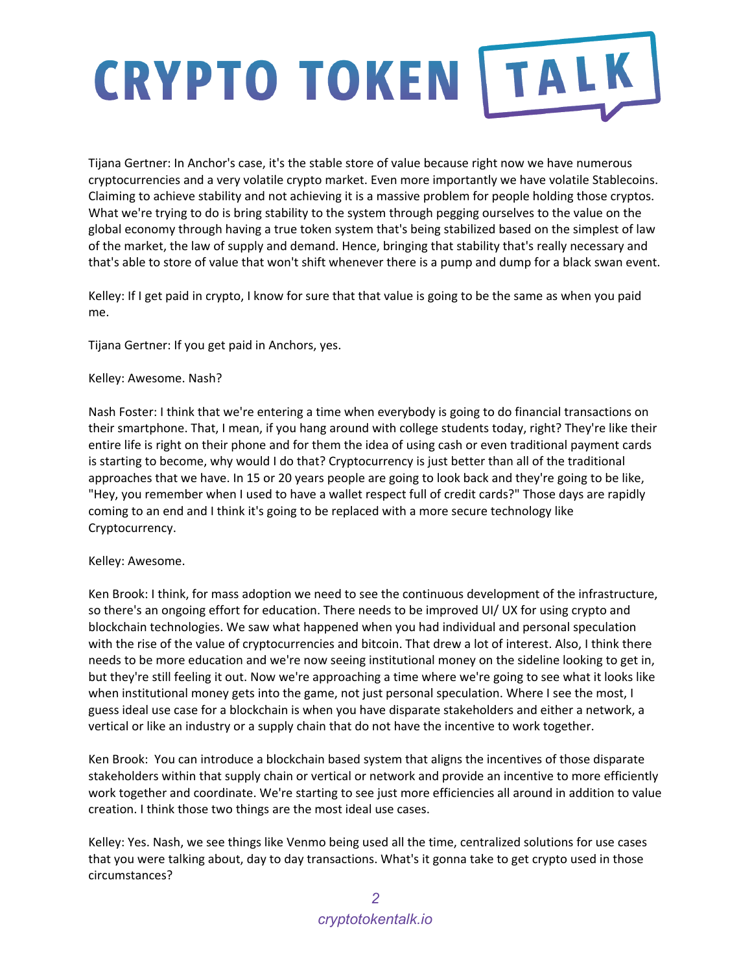Tijana Gertner: In Anchor's case, it's the stable store of value because right now we have numerous cryptocurrencies and a very volatile crypto market. Even more importantly we have volatile Stablecoins. Claiming to achieve stability and not achieving it is a massive problem for people holding those cryptos. What we're trying to do is bring stability to the system through pegging ourselves to the value on the global economy through having a true token system that's being stabilized based on the simplest of law of the market, the law of supply and demand. Hence, bringing that stability that's really necessary and that's able to store of value that won't shift whenever there is a pump and dump for a black swan event.

Kelley: If I get paid in crypto, I know for sure that that value is going to be the same as when you paid me.

Tijana Gertner: If you get paid in Anchors, yes.

### Kelley: Awesome. Nash?

Nash Foster: I think that we're entering a time when everybody is going to do financial transactions on their smartphone. That, I mean, if you hang around with college students today, right? They're like their entire life is right on their phone and for them the idea of using cash or even traditional payment cards is starting to become, why would I do that? Cryptocurrency is just better than all of the traditional approaches that we have. In 15 or 20 years people are going to look back and they're going to be like, "Hey, you remember when I used to have a wallet respect full of credit cards?" Those days are rapidly coming to an end and I think it's going to be replaced with a more secure technology like Cryptocurrency.

### Kelley: Awesome.

Ken Brook: I think, for mass adoption we need to see the continuous development of the infrastructure, so there's an ongoing effort for education. There needs to be improved UI/ UX for using crypto and blockchain technologies. We saw what happened when you had individual and personal speculation with the rise of the value of cryptocurrencies and bitcoin. That drew a lot of interest. Also, I think there needs to be more education and we're now seeing institutional money on the sideline looking to get in, but they're still feeling it out. Now we're approaching a time where we're going to see what it looks like when institutional money gets into the game, not just personal speculation. Where I see the most, I guess ideal use case for a blockchain is when you have disparate stakeholders and either a network, a vertical or like an industry or a supply chain that do not have the incentive to work together.

Ken Brook: You can introduce a blockchain based system that aligns the incentives of those disparate stakeholders within that supply chain or vertical or network and provide an incentive to more efficiently work together and coordinate. We're starting to see just more efficiencies all around in addition to value creation. I think those two things are the most ideal use cases.

Kelley: Yes. Nash, we see things like Venmo being used all the time, centralized solutions for use cases that you were talking about, day to day transactions. What's it gonna take to get crypto used in those circumstances?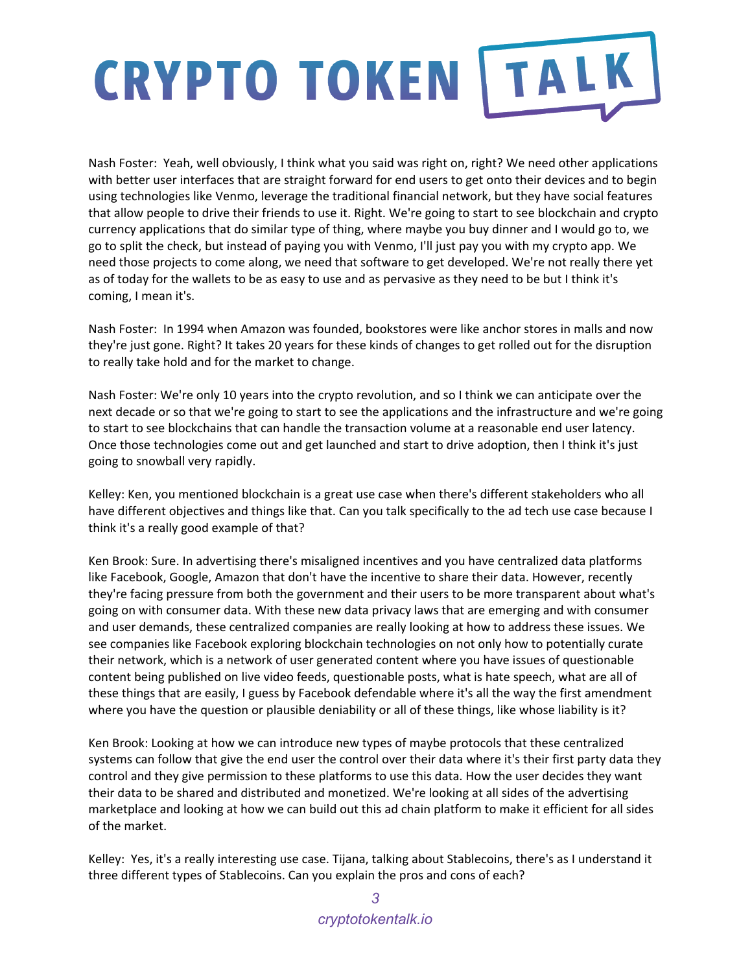Nash Foster: Yeah, well obviously, I think what you said was right on, right? We need other applications with better user interfaces that are straight forward for end users to get onto their devices and to begin using technologies like Venmo, leverage the traditional financial network, but they have social features that allow people to drive their friends to use it. Right. We're going to start to see blockchain and crypto currency applications that do similar type of thing, where maybe you buy dinner and I would go to, we go to split the check, but instead of paying you with Venmo, I'll just pay you with my crypto app. We need those projects to come along, we need that software to get developed. We're not really there yet as of today for the wallets to be as easy to use and as pervasive as they need to be but I think it's coming, I mean it's.

Nash Foster: In 1994 when Amazon was founded, bookstores were like anchor stores in malls and now they're just gone. Right? It takes 20 years for these kinds of changes to get rolled out for the disruption to really take hold and for the market to change.

Nash Foster: We're only 10 years into the crypto revolution, and so I think we can anticipate over the next decade or so that we're going to start to see the applications and the infrastructure and we're going to start to see blockchains that can handle the transaction volume at a reasonable end user latency. Once those technologies come out and get launched and start to drive adoption, then I think it's just going to snowball very rapidly.

Kelley: Ken, you mentioned blockchain is a great use case when there's different stakeholders who all have different objectives and things like that. Can you talk specifically to the ad tech use case because I think it's a really good example of that?

Ken Brook: Sure. In advertising there's misaligned incentives and you have centralized data platforms like Facebook, Google, Amazon that don't have the incentive to share their data. However, recently they're facing pressure from both the government and their users to be more transparent about what's going on with consumer data. With these new data privacy laws that are emerging and with consumer and user demands, these centralized companies are really looking at how to address these issues. We see companies like Facebook exploring blockchain technologies on not only how to potentially curate their network, which is a network of user generated content where you have issues of questionable content being published on live video feeds, questionable posts, what is hate speech, what are all of these things that are easily, I guess by Facebook defendable where it's all the way the first amendment where you have the question or plausible deniability or all of these things, like whose liability is it?

Ken Brook: Looking at how we can introduce new types of maybe protocols that these centralized systems can follow that give the end user the control over their data where it's their first party data they control and they give permission to these platforms to use this data. How the user decides they want their data to be shared and distributed and monetized. We're looking at all sides of the advertising marketplace and looking at how we can build out this ad chain platform to make it efficient for all sides of the market.

Kelley: Yes, it's a really interesting use case. Tijana, talking about Stablecoins, there's as I understand it three different types of Stablecoins. Can you explain the pros and cons of each?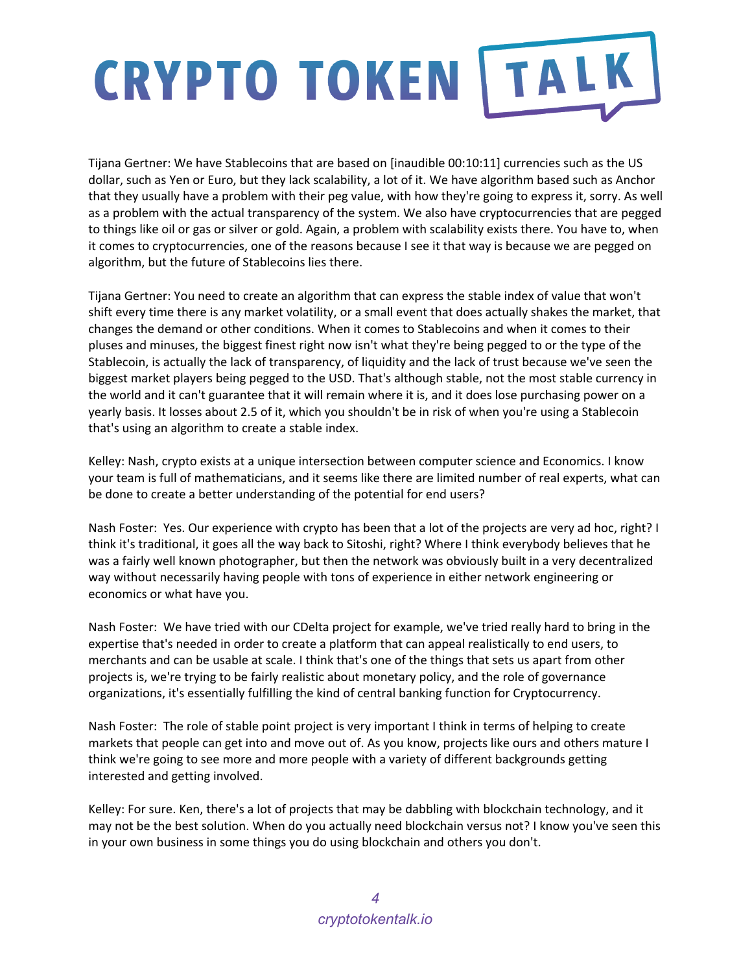Tijana Gertner: We have Stablecoins that are based on [inaudible 00:10:11] currencies such as the US dollar, such as Yen or Euro, but they lack scalability, a lot of it. We have algorithm based such as Anchor that they usually have a problem with their peg value, with how they're going to express it, sorry. As well as a problem with the actual transparency of the system. We also have cryptocurrencies that are pegged to things like oil or gas or silver or gold. Again, a problem with scalability exists there. You have to, when it comes to cryptocurrencies, one of the reasons because I see it that way is because we are pegged on algorithm, but the future of Stablecoins lies there.

Tijana Gertner: You need to create an algorithm that can express the stable index of value that won't shift every time there is any market volatility, or a small event that does actually shakes the market, that changes the demand or other conditions. When it comes to Stablecoins and when it comes to their pluses and minuses, the biggest finest right now isn't what they're being pegged to or the type of the Stablecoin, is actually the lack of transparency, of liquidity and the lack of trust because we've seen the biggest market players being pegged to the USD. That's although stable, not the most stable currency in the world and it can't guarantee that it will remain where it is, and it does lose purchasing power on a yearly basis. It losses about 2.5 of it, which you shouldn't be in risk of when you're using a Stablecoin that's using an algorithm to create a stable index.

Kelley: Nash, crypto exists at a unique intersection between computer science and Economics. I know your team is full of mathematicians, and it seems like there are limited number of real experts, what can be done to create a better understanding of the potential for end users?

Nash Foster: Yes. Our experience with crypto has been that a lot of the projects are very ad hoc, right? I think it's traditional, it goes all the way back to Sitoshi, right? Where I think everybody believes that he was a fairly well known photographer, but then the network was obviously built in a very decentralized way without necessarily having people with tons of experience in either network engineering or economics or what have you.

Nash Foster: We have tried with our CDelta project for example, we've tried really hard to bring in the expertise that's needed in order to create a platform that can appeal realistically to end users, to merchants and can be usable at scale. I think that's one of the things that sets us apart from other projects is, we're trying to be fairly realistic about monetary policy, and the role of governance organizations, it's essentially fulfilling the kind of central banking function for Cryptocurrency.

Nash Foster: The role of stable point project is very important I think in terms of helping to create markets that people can get into and move out of. As you know, projects like ours and others mature I think we're going to see more and more people with a variety of different backgrounds getting interested and getting involved.

Kelley: For sure. Ken, there's a lot of projects that may be dabbling with blockchain technology, and it may not be the best solution. When do you actually need blockchain versus not? I know you've seen this in your own business in some things you do using blockchain and others you don't.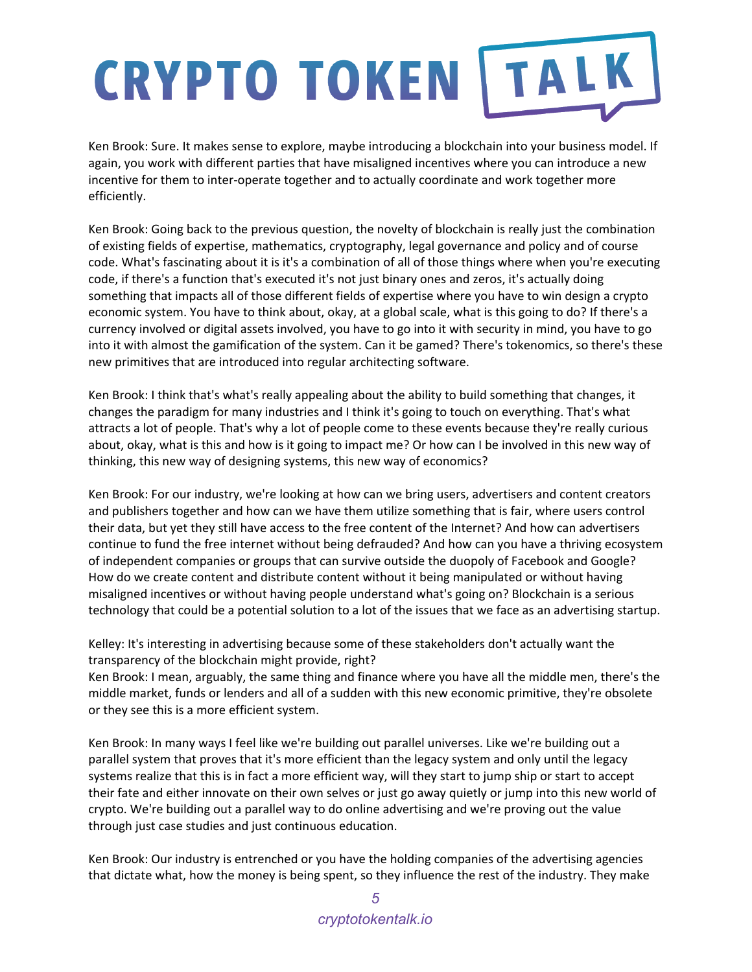Ken Brook: Sure. It makes sense to explore, maybe introducing a blockchain into your business model. If again, you work with different parties that have misaligned incentives where you can introduce a new incentive for them to inter-operate together and to actually coordinate and work together more efficiently.

Ken Brook: Going back to the previous question, the novelty of blockchain is really just the combination of existing fields of expertise, mathematics, cryptography, legal governance and policy and of course code. What's fascinating about it is it's a combination of all of those things where when you're executing code, if there's a function that's executed it's not just binary ones and zeros, it's actually doing something that impacts all of those different fields of expertise where you have to win design a crypto economic system. You have to think about, okay, at a global scale, what is this going to do? If there's a currency involved or digital assets involved, you have to go into it with security in mind, you have to go into it with almost the gamification of the system. Can it be gamed? There's tokenomics, so there's these new primitives that are introduced into regular architecting software.

Ken Brook: I think that's what's really appealing about the ability to build something that changes, it changes the paradigm for many industries and I think it's going to touch on everything. That's what attracts a lot of people. That's why a lot of people come to these events because they're really curious about, okay, what is this and how is it going to impact me? Or how can I be involved in this new way of thinking, this new way of designing systems, this new way of economics?

Ken Brook: For our industry, we're looking at how can we bring users, advertisers and content creators and publishers together and how can we have them utilize something that is fair, where users control their data, but yet they still have access to the free content of the Internet? And how can advertisers continue to fund the free internet without being defrauded? And how can you have a thriving ecosystem of independent companies or groups that can survive outside the duopoly of Facebook and Google? How do we create content and distribute content without it being manipulated or without having misaligned incentives or without having people understand what's going on? Blockchain is a serious technology that could be a potential solution to a lot of the issues that we face as an advertising startup.

Kelley: It's interesting in advertising because some of these stakeholders don't actually want the transparency of the blockchain might provide, right?

Ken Brook: I mean, arguably, the same thing and finance where you have all the middle men, there's the middle market, funds or lenders and all of a sudden with this new economic primitive, they're obsolete or they see this is a more efficient system.

Ken Brook: In many ways I feel like we're building out parallel universes. Like we're building out a parallel system that proves that it's more efficient than the legacy system and only until the legacy systems realize that this is in fact a more efficient way, will they start to jump ship or start to accept their fate and either innovate on their own selves or just go away quietly or jump into this new world of crypto. We're building out a parallel way to do online advertising and we're proving out the value through just case studies and just continuous education.

Ken Brook: Our industry is entrenched or you have the holding companies of the advertising agencies that dictate what, how the money is being spent, so they influence the rest of the industry. They make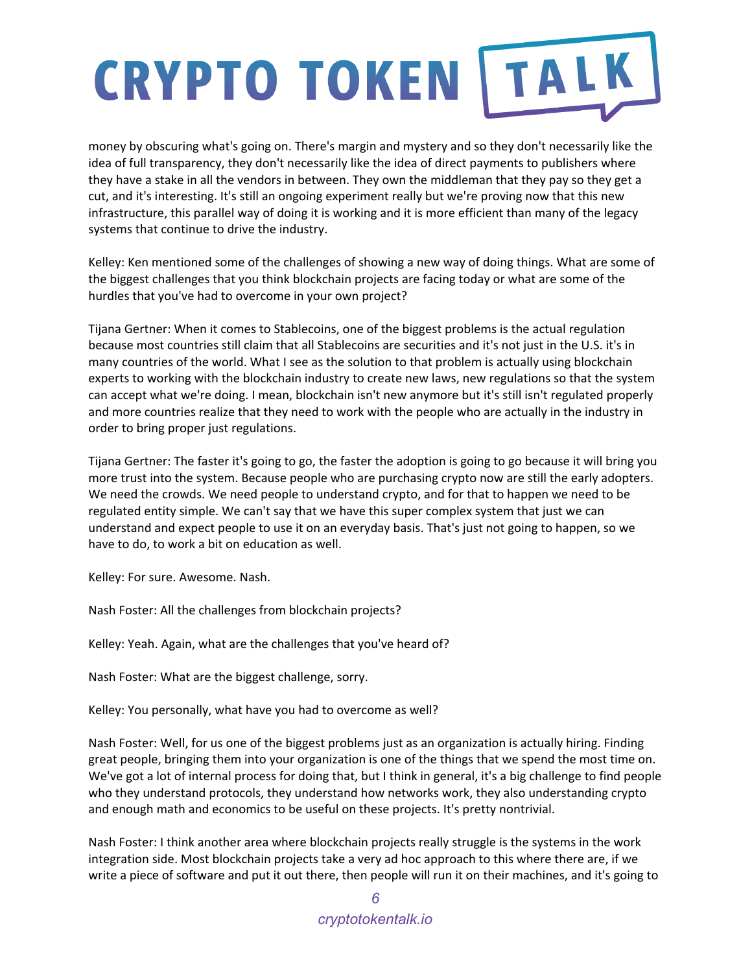money by obscuring what's going on. There's margin and mystery and so they don't necessarily like the idea of full transparency, they don't necessarily like the idea of direct payments to publishers where they have a stake in all the vendors in between. They own the middleman that they pay so they get a cut, and it's interesting. It's still an ongoing experiment really but we're proving now that this new infrastructure, this parallel way of doing it is working and it is more efficient than many of the legacy systems that continue to drive the industry.

Kelley: Ken mentioned some of the challenges of showing a new way of doing things. What are some of the biggest challenges that you think blockchain projects are facing today or what are some of the hurdles that you've had to overcome in your own project?

Tijana Gertner: When it comes to Stablecoins, one of the biggest problems is the actual regulation because most countries still claim that all Stablecoins are securities and it's not just in the U.S. it's in many countries of the world. What I see as the solution to that problem is actually using blockchain experts to working with the blockchain industry to create new laws, new regulations so that the system can accept what we're doing. I mean, blockchain isn't new anymore but it's still isn't regulated properly and more countries realize that they need to work with the people who are actually in the industry in order to bring proper just regulations.

Tijana Gertner: The faster it's going to go, the faster the adoption is going to go because it will bring you more trust into the system. Because people who are purchasing crypto now are still the early adopters. We need the crowds. We need people to understand crypto, and for that to happen we need to be regulated entity simple. We can't say that we have this super complex system that just we can understand and expect people to use it on an everyday basis. That's just not going to happen, so we have to do, to work a bit on education as well.

Kelley: For sure. Awesome. Nash.

Nash Foster: All the challenges from blockchain projects?

Kelley: Yeah. Again, what are the challenges that you've heard of?

Nash Foster: What are the biggest challenge, sorry.

Kelley: You personally, what have you had to overcome as well?

Nash Foster: Well, for us one of the biggest problems just as an organization is actually hiring. Finding great people, bringing them into your organization is one of the things that we spend the most time on. We've got a lot of internal process for doing that, but I think in general, it's a big challenge to find people who they understand protocols, they understand how networks work, they also understanding crypto and enough math and economics to be useful on these projects. It's pretty nontrivial.

Nash Foster: I think another area where blockchain projects really struggle is the systems in the work integration side. Most blockchain projects take a very ad hoc approach to this where there are, if we write a piece of software and put it out there, then people will run it on their machines, and it's going to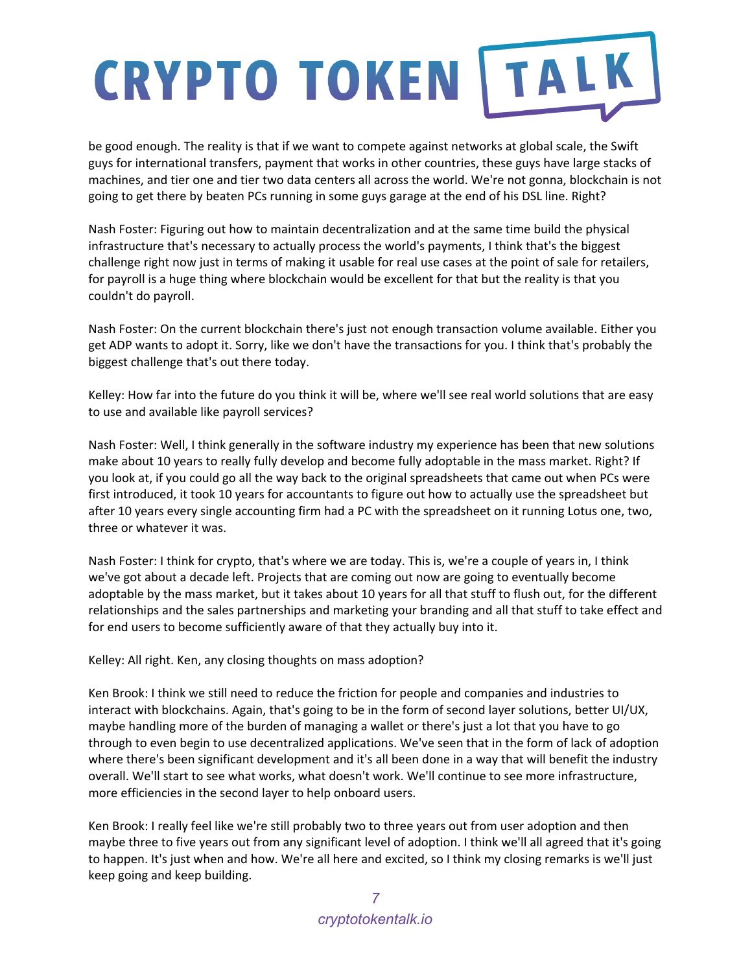be good enough. The reality is that if we want to compete against networks at global scale, the Swift guys for international transfers, payment that works in other countries, these guys have large stacks of machines, and tier one and tier two data centers all across the world. We're not gonna, blockchain is not going to get there by beaten PCs running in some guys garage at the end of his DSL line. Right?

Nash Foster: Figuring out how to maintain decentralization and at the same time build the physical infrastructure that's necessary to actually process the world's payments, I think that's the biggest challenge right now just in terms of making it usable for real use cases at the point of sale for retailers, for payroll is a huge thing where blockchain would be excellent for that but the reality is that you couldn't do payroll.

Nash Foster: On the current blockchain there's just not enough transaction volume available. Either you get ADP wants to adopt it. Sorry, like we don't have the transactions for you. I think that's probably the biggest challenge that's out there today.

Kelley: How far into the future do you think it will be, where we'll see real world solutions that are easy to use and available like payroll services?

Nash Foster: Well, I think generally in the software industry my experience has been that new solutions make about 10 years to really fully develop and become fully adoptable in the mass market. Right? If you look at, if you could go all the way back to the original spreadsheets that came out when PCs were first introduced, it took 10 years for accountants to figure out how to actually use the spreadsheet but after 10 years every single accounting firm had a PC with the spreadsheet on it running Lotus one, two, three or whatever it was.

Nash Foster: I think for crypto, that's where we are today. This is, we're a couple of years in, I think we've got about a decade left. Projects that are coming out now are going to eventually become adoptable by the mass market, but it takes about 10 years for all that stuff to flush out, for the different relationships and the sales partnerships and marketing your branding and all that stuff to take effect and for end users to become sufficiently aware of that they actually buy into it.

Kelley: All right. Ken, any closing thoughts on mass adoption?

Ken Brook: I think we still need to reduce the friction for people and companies and industries to interact with blockchains. Again, that's going to be in the form of second layer solutions, better UI/UX, maybe handling more of the burden of managing a wallet or there's just a lot that you have to go through to even begin to use decentralized applications. We've seen that in the form of lack of adoption where there's been significant development and it's all been done in a way that will benefit the industry overall. We'll start to see what works, what doesn't work. We'll continue to see more infrastructure, more efficiencies in the second layer to help onboard users.

Ken Brook: I really feel like we're still probably two to three years out from user adoption and then maybe three to five years out from any significant level of adoption. I think we'll all agreed that it's going to happen. It's just when and how. We're all here and excited, so I think my closing remarks is we'll just keep going and keep building.